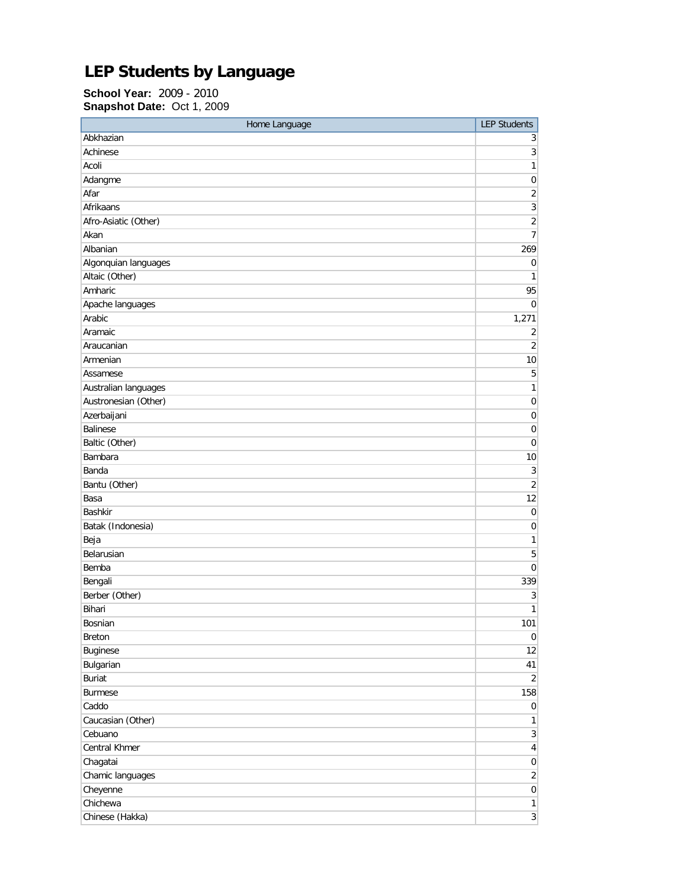## **LEP Students by Language**

**School Year:** 2009 - 2010 **Snapshot Date:** Oct 1, 2009

| Home Language        | <b>LEP Students</b>       |
|----------------------|---------------------------|
| Abkhazian            | 3                         |
| Achinese             | $\ensuremath{\mathsf{3}}$ |
| Acoli                | $\mathbf{1}$              |
| Adangme              | $\mathbf 0$               |
| Afar                 | $\sqrt{2}$                |
| Afrikaans            | 3                         |
| Afro-Asiatic (Other) | $\overline{c}$            |
| Akan                 | $\overline{7}$            |
| Albanian             | 269                       |
| Algonquian languages | $\pmb{0}$                 |
| Altaic (Other)       | 1                         |
| Amharic              | 95                        |
| Apache languages     | 0                         |
| Arabic               | 1,271                     |
| Aramaic              | 2                         |
| Araucanian           | $\overline{2}$            |
| Armenian             | 10                        |
| Assamese             | 5                         |
| Australian languages | $\mathbf{1}$              |
| Austronesian (Other) | $\boldsymbol{0}$          |
| Azerbaijani          | 0                         |
| <b>Balinese</b>      | $\pmb{0}$                 |
| Baltic (Other)       | 0                         |
| Bambara              | 10                        |
| Banda                | 3                         |
| Bantu (Other)        | $\overline{2}$            |
| Basa                 | 12                        |
| <b>Bashkir</b>       | $\mathbf 0$               |
| Batak (Indonesia)    | $\pmb{0}$                 |
| Beja                 | 1                         |
| Belarusian           | 5                         |
| Bemba                | 0                         |
| Bengali              | 339                       |
| Berber (Other)       | 3                         |
| Bihari               | $\mathbf{1}$              |
| Bosnian              | 101                       |
| <b>Breton</b>        | $\overline{0}$            |
| Buginese             | 12                        |
| Bulgarian            | 41                        |
| <b>Buriat</b>        | $\overline{2}$            |
| <b>Burmese</b>       | 158                       |
| Caddo                | $\overline{0}$            |
| Caucasian (Other)    | $\mathbf{1}$              |
| Cebuano              | $\overline{3}$            |
| Central Khmer        | $\vert 4 \vert$           |
| Chagatai             | $\overline{0}$            |
| Chamic languages     | $\overline{2}$            |
| Cheyenne             | $\overline{0}$            |
| Chichewa             | $\mathbf{1}$              |
| Chinese (Hakka)      | 3 <sup>1</sup>            |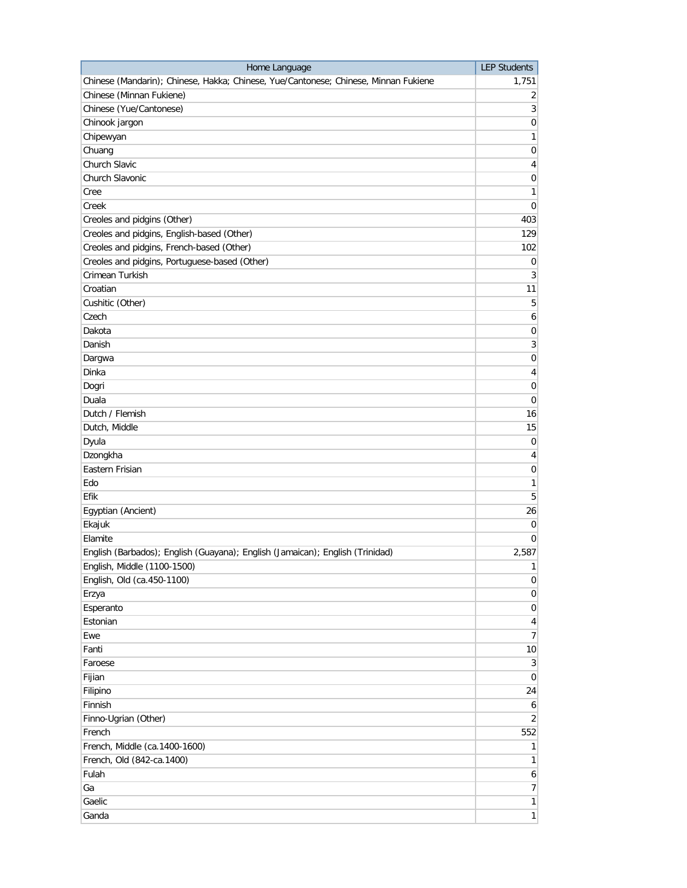| Home Language                                                                       | <b>LEP Students</b> |
|-------------------------------------------------------------------------------------|---------------------|
| Chinese (Mandarin); Chinese, Hakka; Chinese, Yue/Cantonese; Chinese, Minnan Fukiene | 1,751               |
| Chinese (Minnan Fukiene)                                                            | $\overline{2}$      |
| Chinese (Yue/Cantonese)                                                             | $\mathbf{3}$        |
| Chinook jargon                                                                      | $\boldsymbol{0}$    |
| Chipewyan                                                                           | 1                   |
| Chuang                                                                              | $\mathbf 0$         |
| Church Slavic                                                                       | 4                   |
| Church Slavonic                                                                     | 0                   |
| Cree                                                                                | 1                   |
| Creek                                                                               | 0                   |
| Creoles and pidgins (Other)                                                         | 403                 |
| Creoles and pidgins, English-based (Other)                                          | 129                 |
| Creoles and pidgins, French-based (Other)                                           | 102                 |
| Creoles and pidgins, Portuguese-based (Other)                                       | 0                   |
| Crimean Turkish                                                                     | 3                   |
| Croatian                                                                            | 11                  |
| Cushitic (Other)                                                                    | 5                   |
| Czech                                                                               | 6                   |
| Dakota                                                                              | $\mathbf 0$         |
| Danish                                                                              | 3                   |
| Dargwa                                                                              | 0                   |
| Dinka                                                                               | 4                   |
| Dogri                                                                               | $\mathbf 0$         |
| Duala                                                                               |                     |
| Dutch / Flemish                                                                     | 0                   |
|                                                                                     | 16                  |
| Dutch, Middle                                                                       | 15                  |
| Dyula                                                                               | 0                   |
| Dzongkha                                                                            | 4                   |
| Eastern Frisian                                                                     | 0                   |
| Edo                                                                                 | 1                   |
| Efik                                                                                | 5                   |
| Egyptian (Ancient)                                                                  | 26                  |
| Ekajuk                                                                              | 0                   |
| Elamite                                                                             | 0                   |
| English (Barbados); English (Guayana); English (Jamaican); English (Trinidad)       | 2,587               |
| English, Middle (1100-1500)                                                         | $\mathbf{1}$        |
| English, Old (ca.450-1100)                                                          | $\overline{0}$      |
| Erzya                                                                               | $\overline{0}$      |
| Esperanto                                                                           | $\overline{0}$      |
| Estonian                                                                            | $\overline{4}$      |
| Ewe                                                                                 | $\overline{7}$      |
| Fanti                                                                               | 10 <sup>1</sup>     |
| Faroese                                                                             | $\mathbf{3}$        |
| Fijian                                                                              | $\overline{0}$      |
| Filipino                                                                            | 24                  |
| Finnish                                                                             | 6                   |
| Finno-Ugrian (Other)                                                                | $\overline{2}$      |
| French                                                                              | 552                 |
| French, Middle (ca.1400-1600)                                                       | $\mathbf{1}$        |
| French, Old (842-ca.1400)                                                           | 1                   |
| Fulah                                                                               | $6 \mid$            |
| Ga                                                                                  | $7\vert$            |
| Gaelic                                                                              | 1                   |
| Ganda                                                                               | 1                   |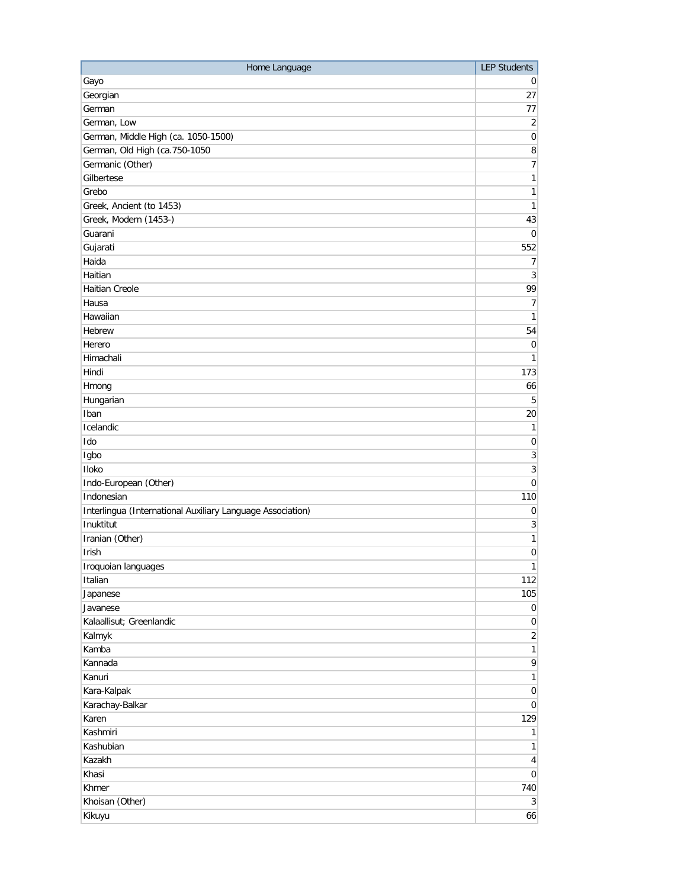| Home Language                                              | <b>LEP Students</b> |
|------------------------------------------------------------|---------------------|
| Gayo                                                       | $\overline{0}$      |
| Georgian                                                   | 27                  |
| German                                                     | 77                  |
| German, Low                                                | $\overline{2}$      |
| German, Middle High (ca. 1050-1500)                        | $\overline{0}$      |
| German, Old High (ca.750-1050                              | $\bf 8$             |
| Germanic (Other)                                           | 7                   |
| Gilbertese                                                 | $\mathbf{1}$        |
| Grebo                                                      | $\mathbf{1}$        |
| Greek, Ancient (to 1453)                                   | $\mathbf{1}$        |
| Greek, Modern (1453-)                                      | 43                  |
| Guarani                                                    | $\overline{0}$      |
| Gujarati                                                   | 552                 |
| Haida                                                      | $\overline{7}$      |
| Haitian                                                    | $\overline{3}$      |
| <b>Haitian Creole</b>                                      | 99                  |
| Hausa                                                      | $\overline{7}$      |
| Hawaiian                                                   | $\mathbf{1}$        |
| Hebrew                                                     | 54                  |
| Herero                                                     | $\overline{0}$      |
| Himachali                                                  | 1                   |
| Hindi                                                      | 173                 |
| Hmong                                                      | 66                  |
| Hungarian                                                  | 5                   |
| Iban                                                       | 20                  |
| Icelandic                                                  | $\mathbf{1}$        |
| Ido                                                        | $\pmb{0}$           |
| Igbo                                                       | $\sqrt{3}$          |
| Iloko                                                      | $\overline{3}$      |
| Indo-European (Other)                                      | $\overline{0}$      |
| Indonesian                                                 | 110                 |
| Interlingua (International Auxiliary Language Association) | $\overline{0}$      |
| Inuktitut                                                  | $\sqrt{3}$          |
| Iranian (Other)                                            | $\mathbf{1}$        |
| Irish                                                      | $\boldsymbol{0}$    |
| Iroquoian languages                                        | 1                   |
| Italian                                                    | 112                 |
| Japanese                                                   | 105                 |
| Javanese                                                   | $\overline{0}$      |
| Kalaallisut; Greenlandic                                   | $\overline{0}$      |
| Kalmyk                                                     | $\overline{2}$      |
| Kamba                                                      | $\mathbf{1}$        |
| Kannada                                                    | $\mathsf{q}$        |
| Kanuri                                                     | $\mathbf{1}$        |
| Kara-Kalpak                                                | $\overline{0}$      |
| Karachay-Balkar                                            | $\overline{0}$      |
| Karen                                                      | 129                 |
| Kashmiri                                                   | 1                   |
| Kashubian                                                  | 1                   |
| Kazakh                                                     | $\vert 4 \vert$     |
| Khasi                                                      | $\overline{0}$      |
| Khmer                                                      | 740                 |
| Khoisan (Other)                                            | $\overline{3}$      |
| Kikuyu                                                     | 66                  |
|                                                            |                     |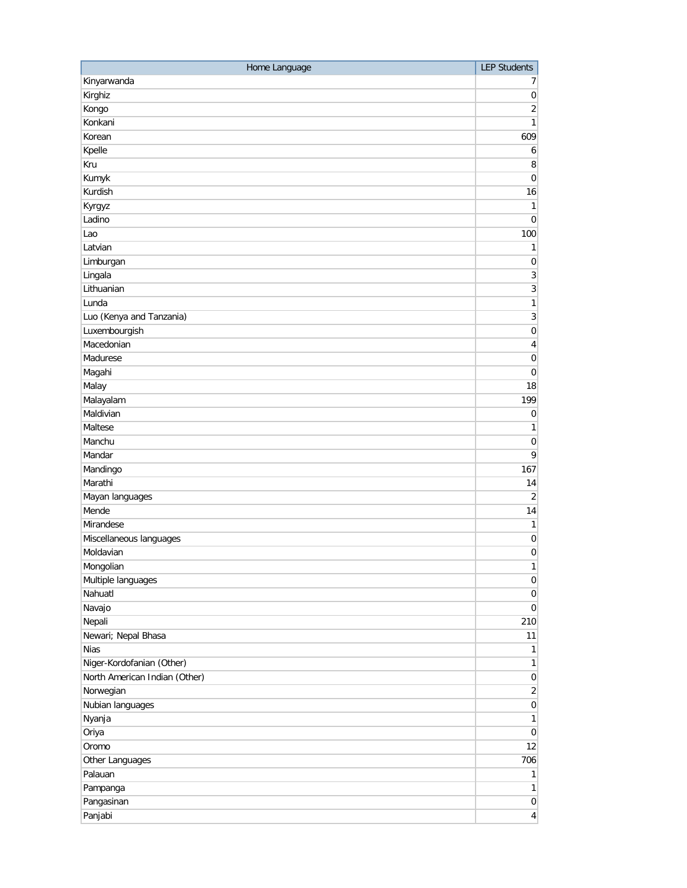| Kinyarwanda<br>7<br>Kirghiz<br>$\pmb{0}$<br>Kongo<br>2<br>Konkani<br>$\mathbf{1}$<br>Korean<br>609<br>Kpelle<br>6<br>Kru<br>8<br>Kumyk<br>$\boldsymbol{0}$<br>Kurdish<br>16<br>Kyrgyz<br>1<br>Ladino<br>$\mathbf 0$<br>100<br>Lao<br>Latvian<br>1<br>Limburgan<br>$\pmb{0}$<br>Lingala<br>3<br>Lithuanian<br>3<br>$\mathbf{1}$<br>Lunda<br>Luo (Kenya and Tanzania)<br>3<br>Luxembourgish<br>$\boldsymbol{0}$<br>Macedonian<br>4<br>Madurese<br>$\boldsymbol{0}$<br>Magahi<br>$\boldsymbol{0}$<br>Malay<br>18<br>Malayalam<br>199<br>Maldivian<br>$\mathbf 0$<br>Maltese<br>1<br>Manchu<br>0<br>Mandar<br>9<br>Mandingo<br>167<br>Marathi<br>14<br>Mayan languages<br>$\overline{2}$<br>Mende<br>14 |
|-----------------------------------------------------------------------------------------------------------------------------------------------------------------------------------------------------------------------------------------------------------------------------------------------------------------------------------------------------------------------------------------------------------------------------------------------------------------------------------------------------------------------------------------------------------------------------------------------------------------------------------------------------------------------------------------------------|
|                                                                                                                                                                                                                                                                                                                                                                                                                                                                                                                                                                                                                                                                                                     |
|                                                                                                                                                                                                                                                                                                                                                                                                                                                                                                                                                                                                                                                                                                     |
|                                                                                                                                                                                                                                                                                                                                                                                                                                                                                                                                                                                                                                                                                                     |
|                                                                                                                                                                                                                                                                                                                                                                                                                                                                                                                                                                                                                                                                                                     |
|                                                                                                                                                                                                                                                                                                                                                                                                                                                                                                                                                                                                                                                                                                     |
|                                                                                                                                                                                                                                                                                                                                                                                                                                                                                                                                                                                                                                                                                                     |
|                                                                                                                                                                                                                                                                                                                                                                                                                                                                                                                                                                                                                                                                                                     |
|                                                                                                                                                                                                                                                                                                                                                                                                                                                                                                                                                                                                                                                                                                     |
|                                                                                                                                                                                                                                                                                                                                                                                                                                                                                                                                                                                                                                                                                                     |
|                                                                                                                                                                                                                                                                                                                                                                                                                                                                                                                                                                                                                                                                                                     |
|                                                                                                                                                                                                                                                                                                                                                                                                                                                                                                                                                                                                                                                                                                     |
|                                                                                                                                                                                                                                                                                                                                                                                                                                                                                                                                                                                                                                                                                                     |
|                                                                                                                                                                                                                                                                                                                                                                                                                                                                                                                                                                                                                                                                                                     |
|                                                                                                                                                                                                                                                                                                                                                                                                                                                                                                                                                                                                                                                                                                     |
|                                                                                                                                                                                                                                                                                                                                                                                                                                                                                                                                                                                                                                                                                                     |
|                                                                                                                                                                                                                                                                                                                                                                                                                                                                                                                                                                                                                                                                                                     |
|                                                                                                                                                                                                                                                                                                                                                                                                                                                                                                                                                                                                                                                                                                     |
|                                                                                                                                                                                                                                                                                                                                                                                                                                                                                                                                                                                                                                                                                                     |
|                                                                                                                                                                                                                                                                                                                                                                                                                                                                                                                                                                                                                                                                                                     |
|                                                                                                                                                                                                                                                                                                                                                                                                                                                                                                                                                                                                                                                                                                     |
|                                                                                                                                                                                                                                                                                                                                                                                                                                                                                                                                                                                                                                                                                                     |
|                                                                                                                                                                                                                                                                                                                                                                                                                                                                                                                                                                                                                                                                                                     |
|                                                                                                                                                                                                                                                                                                                                                                                                                                                                                                                                                                                                                                                                                                     |
|                                                                                                                                                                                                                                                                                                                                                                                                                                                                                                                                                                                                                                                                                                     |
|                                                                                                                                                                                                                                                                                                                                                                                                                                                                                                                                                                                                                                                                                                     |
|                                                                                                                                                                                                                                                                                                                                                                                                                                                                                                                                                                                                                                                                                                     |
|                                                                                                                                                                                                                                                                                                                                                                                                                                                                                                                                                                                                                                                                                                     |
|                                                                                                                                                                                                                                                                                                                                                                                                                                                                                                                                                                                                                                                                                                     |
|                                                                                                                                                                                                                                                                                                                                                                                                                                                                                                                                                                                                                                                                                                     |
|                                                                                                                                                                                                                                                                                                                                                                                                                                                                                                                                                                                                                                                                                                     |
|                                                                                                                                                                                                                                                                                                                                                                                                                                                                                                                                                                                                                                                                                                     |
|                                                                                                                                                                                                                                                                                                                                                                                                                                                                                                                                                                                                                                                                                                     |
| Mirandese<br>1                                                                                                                                                                                                                                                                                                                                                                                                                                                                                                                                                                                                                                                                                      |
| Miscellaneous languages<br>$\boldsymbol{0}$                                                                                                                                                                                                                                                                                                                                                                                                                                                                                                                                                                                                                                                         |
| Moldavian<br>$\boldsymbol{0}$                                                                                                                                                                                                                                                                                                                                                                                                                                                                                                                                                                                                                                                                       |
| Mongolian<br>1                                                                                                                                                                                                                                                                                                                                                                                                                                                                                                                                                                                                                                                                                      |
| Multiple languages<br>$\mathbf 0$                                                                                                                                                                                                                                                                                                                                                                                                                                                                                                                                                                                                                                                                   |
| Nahuatl<br>$\boldsymbol{0}$                                                                                                                                                                                                                                                                                                                                                                                                                                                                                                                                                                                                                                                                         |
| Navajo<br>$\overline{0}$                                                                                                                                                                                                                                                                                                                                                                                                                                                                                                                                                                                                                                                                            |
| Nepali<br>210                                                                                                                                                                                                                                                                                                                                                                                                                                                                                                                                                                                                                                                                                       |
| Newari; Nepal Bhasa<br>11                                                                                                                                                                                                                                                                                                                                                                                                                                                                                                                                                                                                                                                                           |
| <b>Nias</b><br>1                                                                                                                                                                                                                                                                                                                                                                                                                                                                                                                                                                                                                                                                                    |
| Niger-Kordofanian (Other)<br>$\mathbf{1}$                                                                                                                                                                                                                                                                                                                                                                                                                                                                                                                                                                                                                                                           |
| North American Indian (Other)<br>$\vert 0 \vert$                                                                                                                                                                                                                                                                                                                                                                                                                                                                                                                                                                                                                                                    |
| Norwegian<br>$\overline{2}$                                                                                                                                                                                                                                                                                                                                                                                                                                                                                                                                                                                                                                                                         |
| Nubian languages<br>$\mathbf 0$                                                                                                                                                                                                                                                                                                                                                                                                                                                                                                                                                                                                                                                                     |
| Nyanja<br>1                                                                                                                                                                                                                                                                                                                                                                                                                                                                                                                                                                                                                                                                                         |
| Oriya<br>$\mathbf 0$                                                                                                                                                                                                                                                                                                                                                                                                                                                                                                                                                                                                                                                                                |
| Oromo<br>12                                                                                                                                                                                                                                                                                                                                                                                                                                                                                                                                                                                                                                                                                         |
| Other Languages<br>706                                                                                                                                                                                                                                                                                                                                                                                                                                                                                                                                                                                                                                                                              |
| Palauan<br>1                                                                                                                                                                                                                                                                                                                                                                                                                                                                                                                                                                                                                                                                                        |
| Pampanga<br>1                                                                                                                                                                                                                                                                                                                                                                                                                                                                                                                                                                                                                                                                                       |
| Pangasinan<br>$\overline{0}$                                                                                                                                                                                                                                                                                                                                                                                                                                                                                                                                                                                                                                                                        |
| Panjabi<br>$\vert 4 \vert$                                                                                                                                                                                                                                                                                                                                                                                                                                                                                                                                                                                                                                                                          |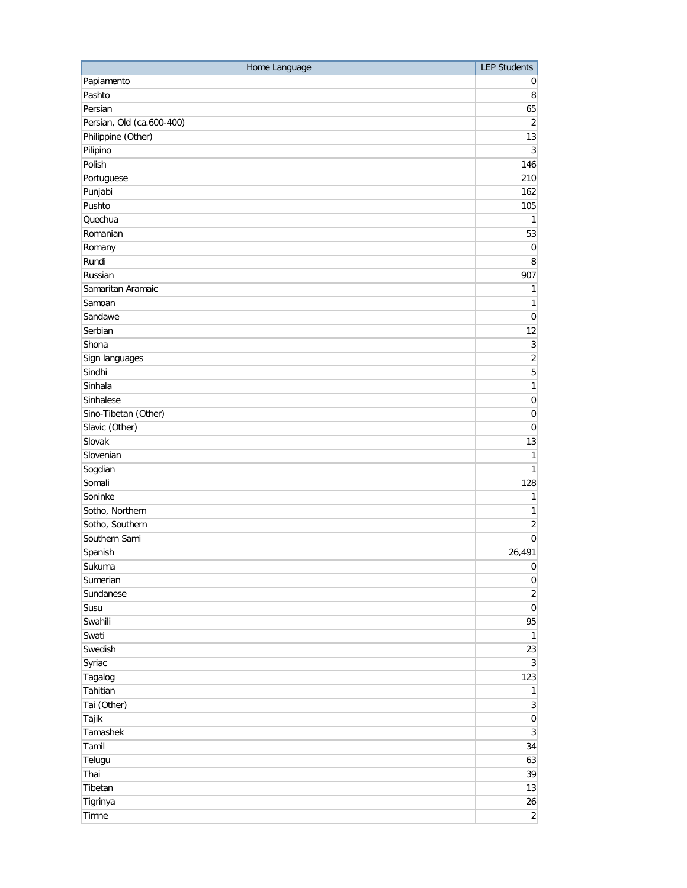| Home Language             | <b>LEP Students</b> |
|---------------------------|---------------------|
| Papiamento                | 0                   |
| Pashto                    | 8                   |
| Persian                   | 65                  |
| Persian, Old (ca.600-400) | $\sqrt{2}$          |
| Philippine (Other)        | 13                  |
| Pilipino                  | 3                   |
| Polish                    | 146                 |
| Portuguese                | 210                 |
| Punjabi                   | 162                 |
| Pushto                    | 105                 |
| Quechua                   | 1                   |
| Romanian                  | 53                  |
| Romany                    | $\mathbf 0$         |
| Rundi                     | 8                   |
| Russian                   | 907                 |
| Samaritan Aramaic         | 1                   |
| Samoan                    | 1                   |
| Sandawe                   | $\mathbf 0$         |
| Serbian                   | 12                  |
| Shona                     | $\sqrt{3}$          |
| Sign languages            | $\overline{c}$      |
| Sindhi                    | $\overline{5}$      |
| Sinhala                   | $\mathbf{1}$        |
| Sinhalese                 | $\pmb{0}$           |
| Sino-Tibetan (Other)      | $\boldsymbol{0}$    |
| Slavic (Other)            | $\boldsymbol{0}$    |
| Slovak                    | 13                  |
| Slovenian                 | 1                   |
| Sogdian                   | $\mathbf{1}$        |
| Somali                    | 128                 |
| Soninke                   | 1                   |
| Sotho, Northern           | 1                   |
| Sotho, Southern           | $\overline{2}$      |
| Southern Sami             | 0                   |
| Spanish                   | 26,491              |
| Sukuma                    | $\overline{0}$      |
| Sumerian                  | $\overline{0}$      |
| Sundanese                 | $\overline{2}$      |
| Susu                      | $\overline{0}$      |
| Swahili                   | 95                  |
| Swati                     | $\mathbf{1}$        |
| Swedish                   | 23                  |
| Syriac                    | $\overline{3}$      |
| Tagalog                   | 123                 |
| Tahitian                  | $\mathbf{1}$        |
| Tai (Other)               | $\overline{3}$      |
| Tajik                     | $\vert 0 \vert$     |
| Tamashek                  | $\overline{3}$      |
| Tamil                     | 34                  |
| Telugu                    | 63                  |
| Thai                      | 39                  |
| Tibetan                   | 13                  |
| Tigrinya                  | 26                  |
| Timne                     | $\overline{2}$      |
|                           |                     |